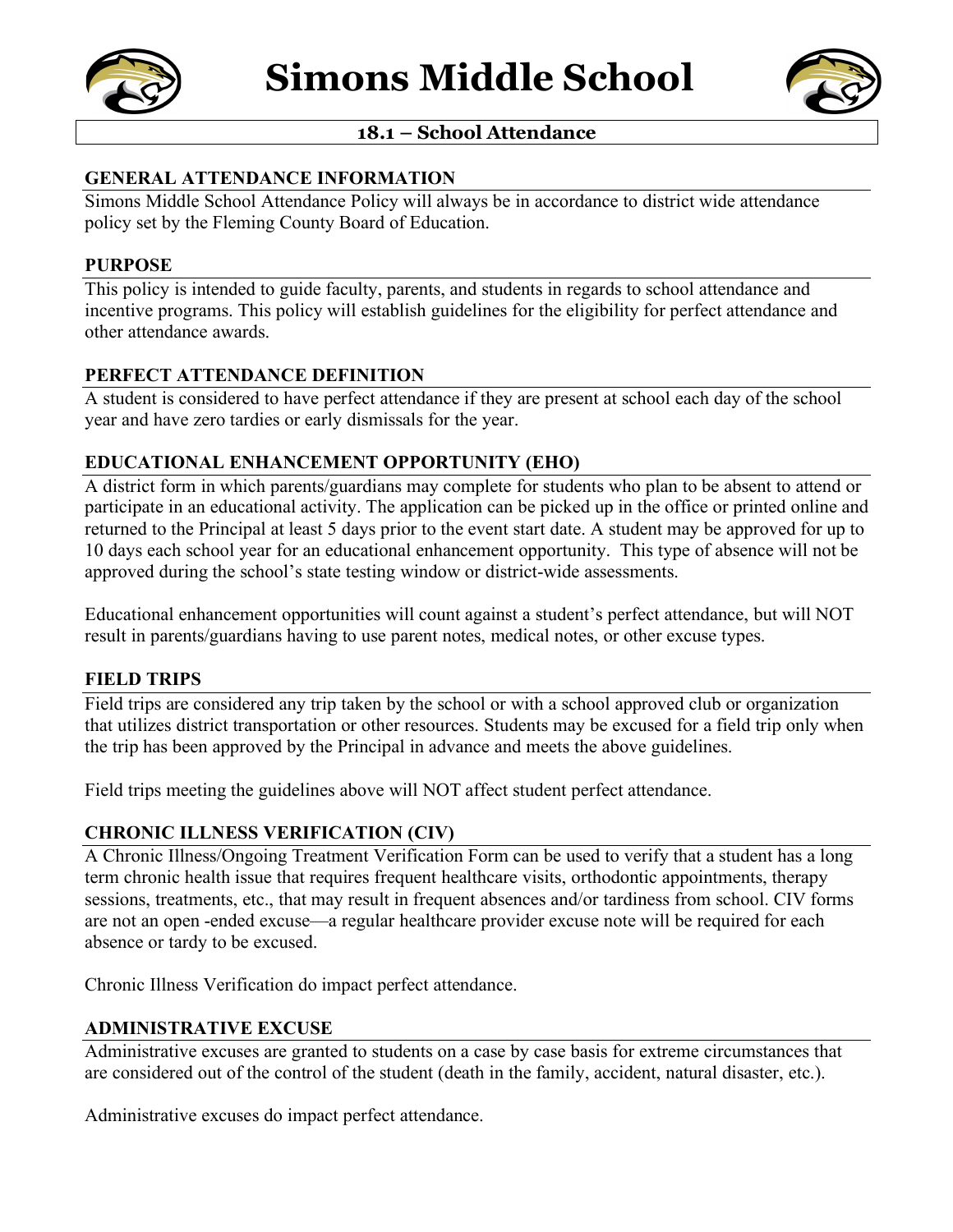



# **18.1 – School Attendance**

# **GENERAL ATTENDANCE INFORMATION**

Simons Middle School Attendance Policy will always be in accordance to district wide attendance policy set by the Fleming County Board of Education.

#### **PURPOSE**

This policy is intended to guide faculty, parents, and students in regards to school attendance and incentive programs. This policy will establish guidelines for the eligibility for perfect attendance and other attendance awards.

# **PERFECT ATTENDANCE DEFINITION**

A student is considered to have perfect attendance if they are present at school each day of the school year and have zero tardies or early dismissals for the year.

# **EDUCATIONAL ENHANCEMENT OPPORTUNITY (EHO)**

A district form in which parents/guardians may complete for students who plan to be absent to attend or participate in an educational activity. The application can be picked up in the office or printed online and returned to the Principal at least 5 days prior to the event start date. A student may be approved for up to 10 days each school year for an educational enhancement opportunity. This type of absence will not be approved during the school's state testing window or district-wide assessments.

Educational enhancement opportunities will count against a student's perfect attendance, but will NOT result in parents/guardians having to use parent notes, medical notes, or other excuse types.

### **FIELD TRIPS**

Field trips are considered any trip taken by the school or with a school approved club or organization that utilizes district transportation or other resources. Students may be excused for a field trip only when the trip has been approved by the Principal in advance and meets the above guidelines.

Field trips meeting the guidelines above will NOT affect student perfect attendance.

### **CHRONIC ILLNESS VERIFICATION (CIV)**

A Chronic Illness/Ongoing Treatment Verification Form can be used to verify that a student has a long term chronic health issue that requires frequent healthcare visits, orthodontic appointments, therapy sessions, treatments, etc., that may result in frequent absences and/or tardiness from school. CIV forms are not an open -ended excuse—a regular healthcare provider excuse note will be required for each absence or tardy to be excused.

Chronic Illness Verification do impact perfect attendance.

### **ADMINISTRATIVE EXCUSE**

Administrative excuses are granted to students on a case by case basis for extreme circumstances that are considered out of the control of the student (death in the family, accident, natural disaster, etc.).

Administrative excuses do impact perfect attendance.